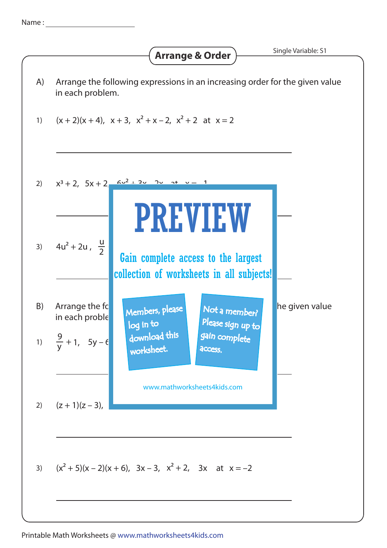